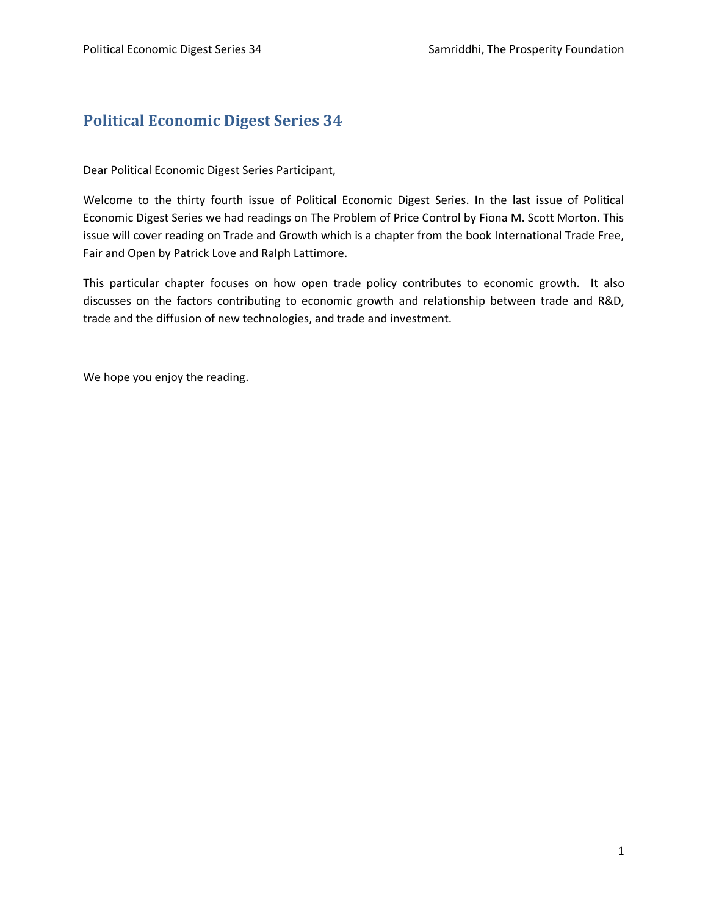# **Political Economic Digest Series 34**

Dear Political Economic Digest Series Participant,

Welcome to the thirty fourth issue of Political Economic Digest Series. In the last issue of Political Economic Digest Series we had readings on The Problem of Price Control by Fiona M. Scott Morton. This issue will cover reading on Trade and Growth which is a chapter from the book International Trade Free, Fair and Open by Patrick Love and Ralph Lattimore.

This particular chapter focuses on how open trade policy contributes to economic growth. It also discusses on the factors contributing to economic growth and relationship between trade and R&D, trade and the diffusion of new technologies, and trade and investment.

We hope you enjoy the reading.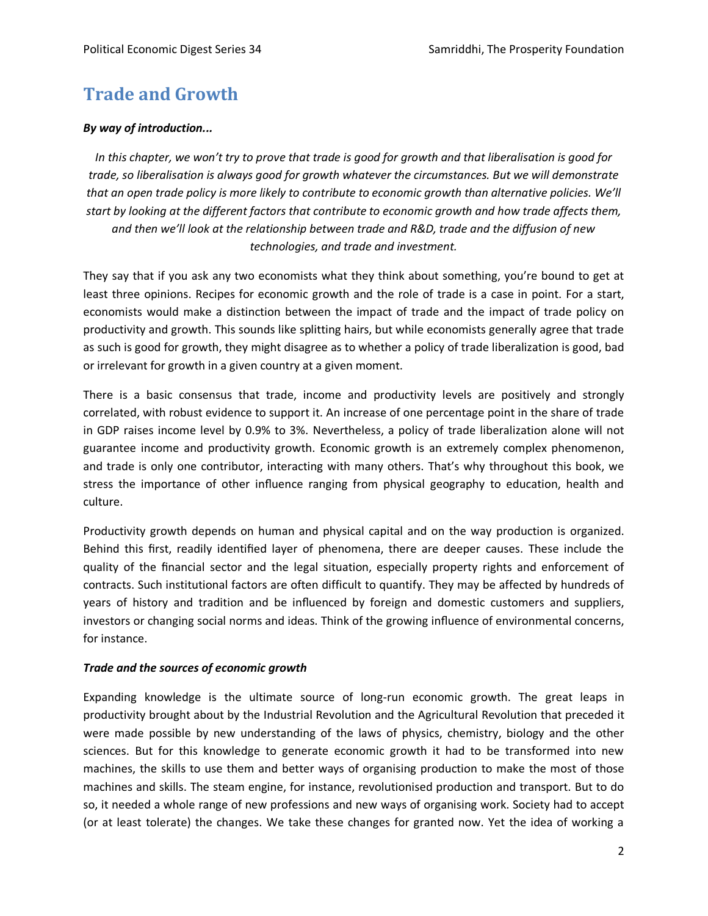# **Trade and Growth**

#### *By way of introduction...*

*In this chapter, we won't try to prove that trade is good for growth and that liberalisation is good for trade, so liberalisation is always good for growth whatever the circumstances. But we will demonstrate that an open trade policy is more likely to contribute to economic growth than alternative policies. We'll start by looking at the different factors that contribute to economic growth and how trade affects them, and then we'll look at the relationship between trade and R&D, trade and the diffusion of new technologies, and trade and investment.*

They say that if you ask any two economists what they think about something, you're bound to get at least three opinions. Recipes for economic growth and the role of trade is a case in point. For a start, economists would make a distinction between the impact of trade and the impact of trade policy on productivity and growth. This sounds like splitting hairs, but while economists generally agree that trade as such is good for growth, they might disagree as to whether a policy of trade liberalization is good, bad or irrelevant for growth in a given country at a given moment.

There is a basic consensus that trade, income and productivity levels are positively and strongly correlated, with robust evidence to support it. An increase of one percentage point in the share of trade in GDP raises income level by 0.9% to 3%. Nevertheless, a policy of trade liberalization alone will not guarantee income and productivity growth. Economic growth is an extremely complex phenomenon, and trade is only one contributor, interacting with many others. That's why throughout this book, we stress the importance of other influence ranging from physical geography to education, health and culture.

Productivity growth depends on human and physical capital and on the way production is organized. Behind this first, readily identified layer of phenomena, there are deeper causes. These include the quality of the financial sector and the legal situation, especially property rights and enforcement of contracts. Such institutional factors are often difficult to quantify. They may be affected by hundreds of years of history and tradition and be influenced by foreign and domestic customers and suppliers, investors or changing social norms and ideas. Think of the growing influence of environmental concerns, for instance.

# *Trade and the sources of economic growth*

Expanding knowledge is the ultimate source of long-run economic growth. The great leaps in productivity brought about by the Industrial Revolution and the Agricultural Revolution that preceded it were made possible by new understanding of the laws of physics, chemistry, biology and the other sciences. But for this knowledge to generate economic growth it had to be transformed into new machines, the skills to use them and better ways of organising production to make the most of those machines and skills. The steam engine, for instance, revolutionised production and transport. But to do so, it needed a whole range of new professions and new ways of organising work. Society had to accept (or at least tolerate) the changes. We take these changes for granted now. Yet the idea of working a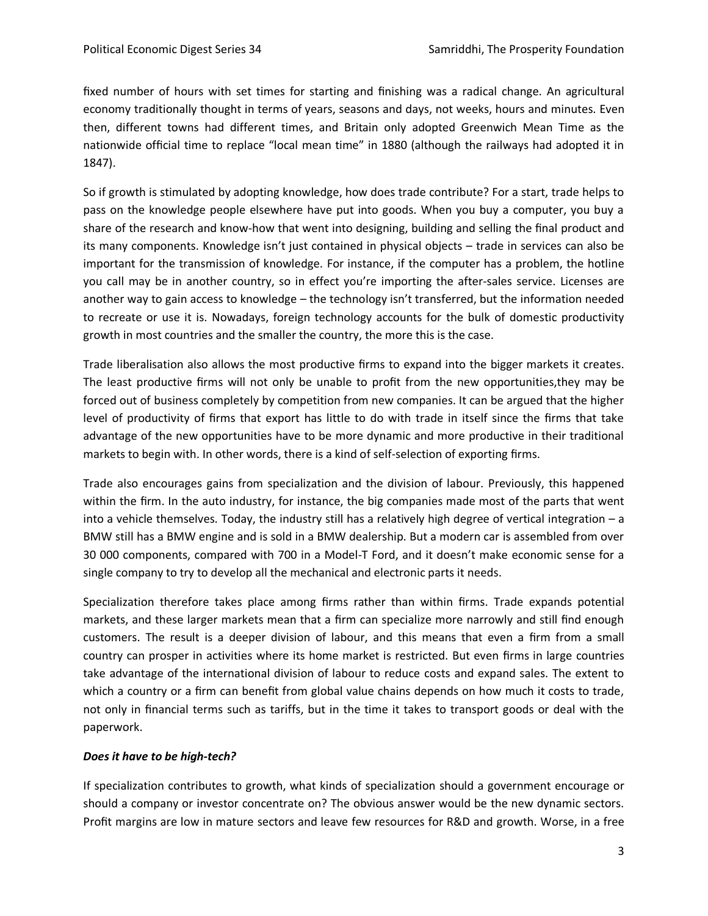fixed number of hours with set times for starting and finishing was a radical change. An agricultural economy traditionally thought in terms of years, seasons and days, not weeks, hours and minutes. Even then, different towns had different times, and Britain only adopted Greenwich Mean Time as the nationwide official time to replace "local mean time" in 1880 (although the railways had adopted it in 1847).

So if growth is stimulated by adopting knowledge, how does trade contribute? For a start, trade helps to pass on the knowledge people elsewhere have put into goods. When you buy a computer, you buy a share of the research and know-how that went into designing, building and selling the final product and its many components. Knowledge isn't just contained in physical objects – trade in services can also be important for the transmission of knowledge. For instance, if the computer has a problem, the hotline you call may be in another country, so in effect you're importing the after-sales service. Licenses are another way to gain access to knowledge – the technology isn't transferred, but the information needed to recreate or use it is. Nowadays, foreign technology accounts for the bulk of domestic productivity growth in most countries and the smaller the country, the more this is the case.

Trade liberalisation also allows the most productive firms to expand into the bigger markets it creates. The least productive firms will not only be unable to profit from the new opportunities,they may be forced out of business completely by competition from new companies. It can be argued that the higher level of productivity of firms that export has little to do with trade in itself since the firms that take advantage of the new opportunities have to be more dynamic and more productive in their traditional markets to begin with. In other words, there is a kind of self-selection of exporting firms.

Trade also encourages gains from specialization and the division of labour. Previously, this happened within the firm. In the auto industry, for instance, the big companies made most of the parts that went into a vehicle themselves. Today, the industry still has a relatively high degree of vertical integration – a BMW still has a BMW engine and is sold in a BMW dealership. But a modern car is assembled from over 30 000 components, compared with 700 in a Model-T Ford, and it doesn't make economic sense for a single company to try to develop all the mechanical and electronic parts it needs.

Specialization therefore takes place among firms rather than within firms. Trade expands potential markets, and these larger markets mean that a firm can specialize more narrowly and still find enough customers. The result is a deeper division of labour, and this means that even a firm from a small country can prosper in activities where its home market is restricted. But even firms in large countries take advantage of the international division of labour to reduce costs and expand sales. The extent to which a country or a firm can benefit from global value chains depends on how much it costs to trade, not only in financial terms such as tariffs, but in the time it takes to transport goods or deal with the paperwork.

# *Does it have to be high-tech?*

If specialization contributes to growth, what kinds of specialization should a government encourage or should a company or investor concentrate on? The obvious answer would be the new dynamic sectors. Profit margins are low in mature sectors and leave few resources for R&D and growth. Worse, in a free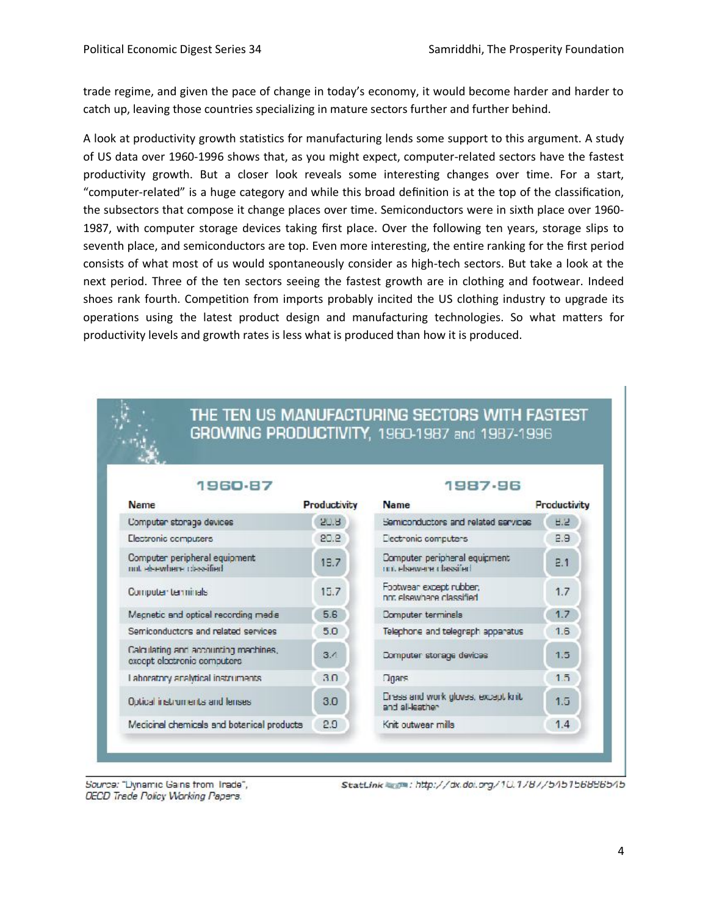trade regime, and given the pace of change in today's economy, it would become harder and harder to catch up, leaving those countries specializing in mature sectors further and further behind.

A look at productivity growth statistics for manufacturing lends some support to this argument. A study of US data over 1960-1996 shows that, as you might expect, computer-related sectors have the fastest productivity growth. But a closer look reveals some interesting changes over time. For a start, "computer-related" is a huge category and while this broad definition is at the top of the classification, the subsectors that compose it change places over time. Semiconductors were in sixth place over 1960- 1987, with computer storage devices taking first place. Over the following ten years, storage slips to seventh place, and semiconductors are top. Even more interesting, the entire ranking for the first period consists of what most of us would spontaneously consider as high-tech sectors. But take a look at the next period. Three of the ten sectors seeing the fastest growth are in clothing and footwear. Indeed shoes rank fourth. Competition from imports probably incited the US clothing industry to upgrade its operations using the latest product design and manufacturing technologies. So what matters for productivity levels and growth rates is less what is produced than how it is produced.



# THE TEN US MANUFACTURING SECTORS WITH FASTEST GROWING PRODUCTIVITY, 1960-1987 and 1987-1996

#### 1960-87

| 20.8<br>20.2                                      |
|---------------------------------------------------|
|                                                   |
|                                                   |
| 19.7                                              |
| 15.7                                              |
| 5.6                                               |
| 50                                                |
| 3.4                                               |
| 30                                                |
| 3.0                                               |
| Medicinal chemicals and botenical products<br>2.9 |
|                                                   |

#### 1987.96

| <b>Name</b>                                              | Productivity |
|----------------------------------------------------------|--------------|
| Semiconductors and related services                      | H.2          |
| Electronic computers                                     | 2.9          |
| Computer peripheral equipment<br>out elsewere classified | E.1          |
| Footwear except rubber,<br>not elsewhere classified      | 1.7          |
| Computer terminals                                       | 1.7          |
| Telephone and telegraph apparatus                        | 1.6          |
| Computer storage devices                                 | 1.5          |
| <b>Digars</b>                                            | 1.5          |
| Dress and work gloves, except knit<br>and al-leather     | 1.5          |
| Knit outwear mills                                       | 1.4          |

Source: "Liynamic Gains from Irade", **OECD Trade Policy Working Papers.** 

StatLink = = : http://dx.doi.org/10.1/8//545156896545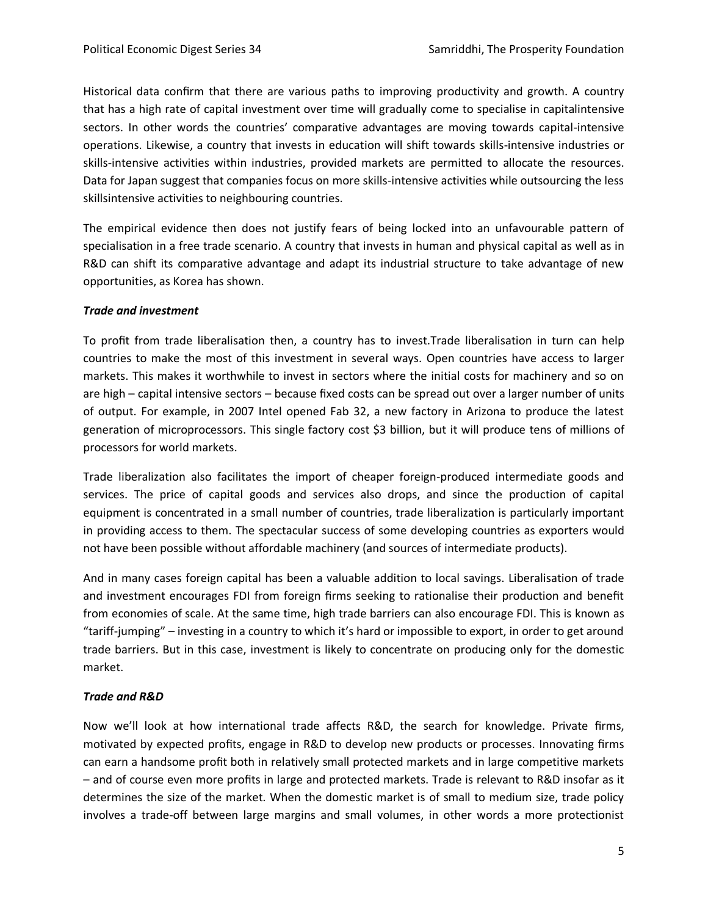Historical data confirm that there are various paths to improving productivity and growth. A country that has a high rate of capital investment over time will gradually come to specialise in capitalintensive sectors. In other words the countries' comparative advantages are moving towards capital-intensive operations. Likewise, a country that invests in education will shift towards skills-intensive industries or skills-intensive activities within industries, provided markets are permitted to allocate the resources. Data for Japan suggest that companies focus on more skills-intensive activities while outsourcing the less skillsintensive activities to neighbouring countries.

The empirical evidence then does not justify fears of being locked into an unfavourable pattern of specialisation in a free trade scenario. A country that invests in human and physical capital as well as in R&D can shift its comparative advantage and adapt its industrial structure to take advantage of new opportunities, as Korea has shown.

#### *Trade and investment*

To profit from trade liberalisation then, a country has to invest.Trade liberalisation in turn can help countries to make the most of this investment in several ways. Open countries have access to larger markets. This makes it worthwhile to invest in sectors where the initial costs for machinery and so on are high – capital intensive sectors – because fixed costs can be spread out over a larger number of units of output. For example, in 2007 Intel opened Fab 32, a new factory in Arizona to produce the latest generation of microprocessors. This single factory cost \$3 billion, but it will produce tens of millions of processors for world markets.

Trade liberalization also facilitates the import of cheaper foreign-produced intermediate goods and services. The price of capital goods and services also drops, and since the production of capital equipment is concentrated in a small number of countries, trade liberalization is particularly important in providing access to them. The spectacular success of some developing countries as exporters would not have been possible without affordable machinery (and sources of intermediate products).

And in many cases foreign capital has been a valuable addition to local savings. Liberalisation of trade and investment encourages FDI from foreign firms seeking to rationalise their production and benefit from economies of scale. At the same time, high trade barriers can also encourage FDI. This is known as "tariff-jumping" – investing in a country to which it's hard or impossible to export, in order to get around trade barriers. But in this case, investment is likely to concentrate on producing only for the domestic market.

# *Trade and R&D*

Now we'll look at how international trade affects R&D, the search for knowledge. Private firms, motivated by expected profits, engage in R&D to develop new products or processes. Innovating firms can earn a handsome profit both in relatively small protected markets and in large competitive markets – and of course even more profits in large and protected markets. Trade is relevant to R&D insofar as it determines the size of the market. When the domestic market is of small to medium size, trade policy involves a trade-off between large margins and small volumes, in other words a more protectionist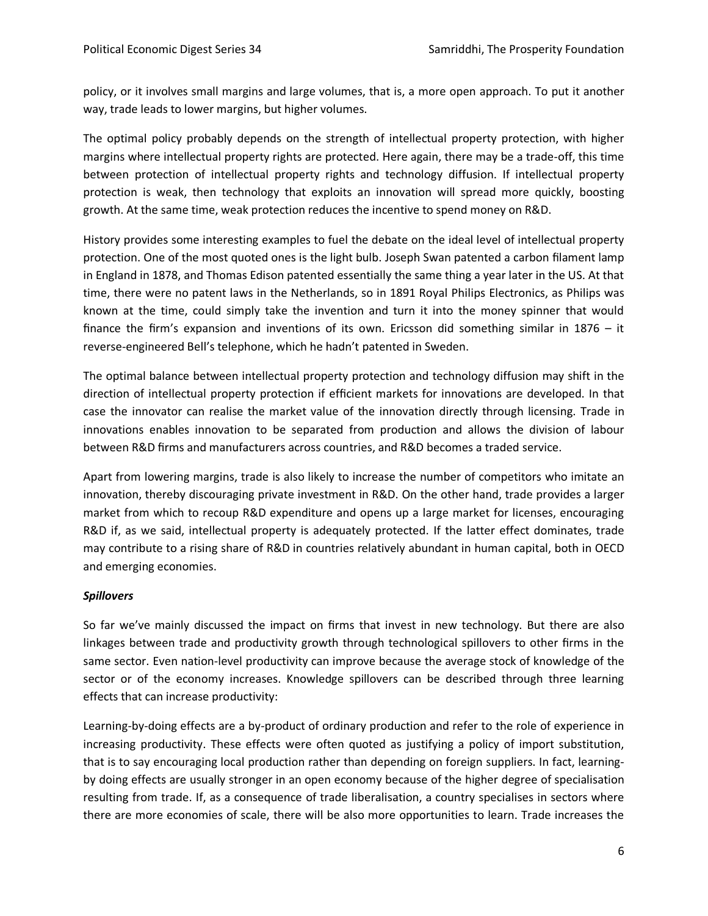policy, or it involves small margins and large volumes, that is, a more open approach. To put it another way, trade leads to lower margins, but higher volumes.

The optimal policy probably depends on the strength of intellectual property protection, with higher margins where intellectual property rights are protected. Here again, there may be a trade-off, this time between protection of intellectual property rights and technology diffusion. If intellectual property protection is weak, then technology that exploits an innovation will spread more quickly, boosting growth. At the same time, weak protection reduces the incentive to spend money on R&D.

History provides some interesting examples to fuel the debate on the ideal level of intellectual property protection. One of the most quoted ones is the light bulb. Joseph Swan patented a carbon filament lamp in England in 1878, and Thomas Edison patented essentially the same thing a year later in the US. At that time, there were no patent laws in the Netherlands, so in 1891 Royal Philips Electronics, as Philips was known at the time, could simply take the invention and turn it into the money spinner that would finance the firm's expansion and inventions of its own. Ericsson did something similar in 1876 – it reverse-engineered Bell's telephone, which he hadn't patented in Sweden.

The optimal balance between intellectual property protection and technology diffusion may shift in the direction of intellectual property protection if efficient markets for innovations are developed. In that case the innovator can realise the market value of the innovation directly through licensing. Trade in innovations enables innovation to be separated from production and allows the division of labour between R&D firms and manufacturers across countries, and R&D becomes a traded service.

Apart from lowering margins, trade is also likely to increase the number of competitors who imitate an innovation, thereby discouraging private investment in R&D. On the other hand, trade provides a larger market from which to recoup R&D expenditure and opens up a large market for licenses, encouraging R&D if, as we said, intellectual property is adequately protected. If the latter effect dominates, trade may contribute to a rising share of R&D in countries relatively abundant in human capital, both in OECD and emerging economies.

# *Spillovers*

So far we've mainly discussed the impact on firms that invest in new technology. But there are also linkages between trade and productivity growth through technological spillovers to other firms in the same sector. Even nation-level productivity can improve because the average stock of knowledge of the sector or of the economy increases. Knowledge spillovers can be described through three learning effects that can increase productivity:

Learning-by-doing effects are a by-product of ordinary production and refer to the role of experience in increasing productivity. These effects were often quoted as justifying a policy of import substitution, that is to say encouraging local production rather than depending on foreign suppliers. In fact, learningby doing effects are usually stronger in an open economy because of the higher degree of specialisation resulting from trade. If, as a consequence of trade liberalisation, a country specialises in sectors where there are more economies of scale, there will be also more opportunities to learn. Trade increases the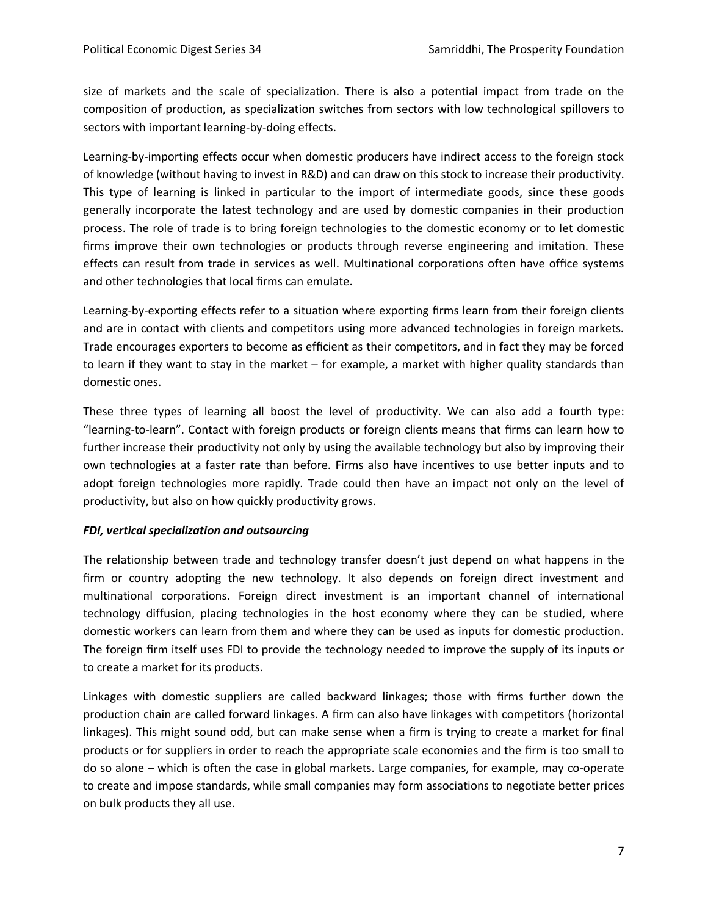size of markets and the scale of specialization. There is also a potential impact from trade on the composition of production, as specialization switches from sectors with low technological spillovers to sectors with important learning-by-doing effects.

Learning-by-importing effects occur when domestic producers have indirect access to the foreign stock of knowledge (without having to invest in R&D) and can draw on this stock to increase their productivity. This type of learning is linked in particular to the import of intermediate goods, since these goods generally incorporate the latest technology and are used by domestic companies in their production process. The role of trade is to bring foreign technologies to the domestic economy or to let domestic firms improve their own technologies or products through reverse engineering and imitation. These effects can result from trade in services as well. Multinational corporations often have office systems and other technologies that local firms can emulate.

Learning-by-exporting effects refer to a situation where exporting firms learn from their foreign clients and are in contact with clients and competitors using more advanced technologies in foreign markets. Trade encourages exporters to become as efficient as their competitors, and in fact they may be forced to learn if they want to stay in the market – for example, a market with higher quality standards than domestic ones.

These three types of learning all boost the level of productivity. We can also add a fourth type: "learning-to-learn". Contact with foreign products or foreign clients means that firms can learn how to further increase their productivity not only by using the available technology but also by improving their own technologies at a faster rate than before. Firms also have incentives to use better inputs and to adopt foreign technologies more rapidly. Trade could then have an impact not only on the level of productivity, but also on how quickly productivity grows.

# *FDI, vertical specialization and outsourcing*

The relationship between trade and technology transfer doesn't just depend on what happens in the firm or country adopting the new technology. It also depends on foreign direct investment and multinational corporations. Foreign direct investment is an important channel of international technology diffusion, placing technologies in the host economy where they can be studied, where domestic workers can learn from them and where they can be used as inputs for domestic production. The foreign firm itself uses FDI to provide the technology needed to improve the supply of its inputs or to create a market for its products.

Linkages with domestic suppliers are called backward linkages; those with firms further down the production chain are called forward linkages. A firm can also have linkages with competitors (horizontal linkages). This might sound odd, but can make sense when a firm is trying to create a market for final products or for suppliers in order to reach the appropriate scale economies and the firm is too small to do so alone – which is often the case in global markets. Large companies, for example, may co-operate to create and impose standards, while small companies may form associations to negotiate better prices on bulk products they all use.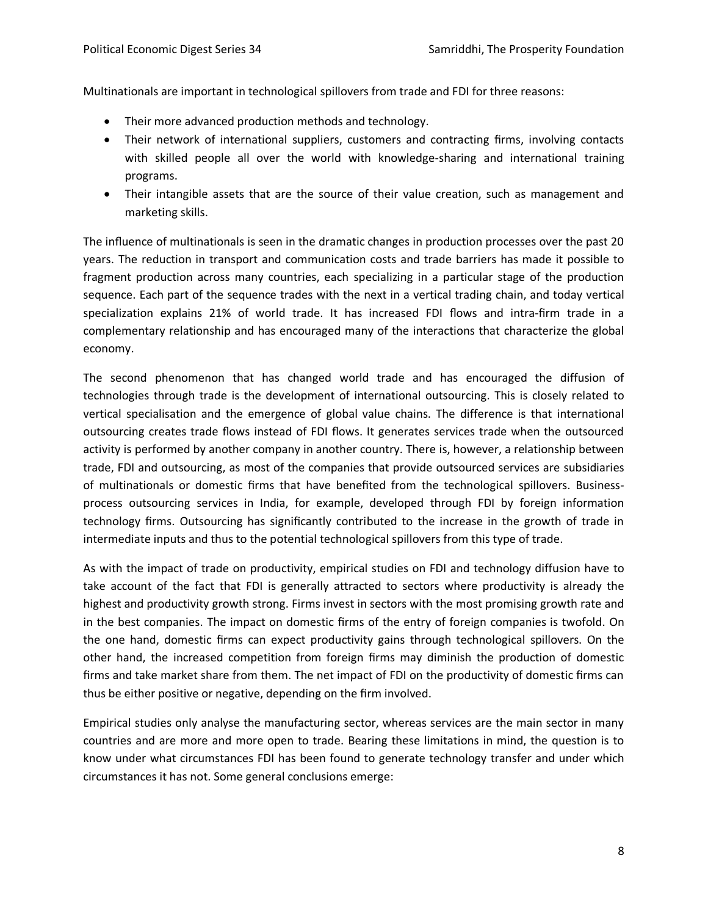Multinationals are important in technological spillovers from trade and FDI for three reasons:

- Their more advanced production methods and technology.
- Their network of international suppliers, customers and contracting firms, involving contacts with skilled people all over the world with knowledge-sharing and international training programs.
- Their intangible assets that are the source of their value creation, such as management and marketing skills.

The influence of multinationals is seen in the dramatic changes in production processes over the past 20 years. The reduction in transport and communication costs and trade barriers has made it possible to fragment production across many countries, each specializing in a particular stage of the production sequence. Each part of the sequence trades with the next in a vertical trading chain, and today vertical specialization explains 21% of world trade. It has increased FDI flows and intra-firm trade in a complementary relationship and has encouraged many of the interactions that characterize the global economy.

The second phenomenon that has changed world trade and has encouraged the diffusion of technologies through trade is the development of international outsourcing. This is closely related to vertical specialisation and the emergence of global value chains. The difference is that international outsourcing creates trade flows instead of FDI flows. It generates services trade when the outsourced activity is performed by another company in another country. There is, however, a relationship between trade, FDI and outsourcing, as most of the companies that provide outsourced services are subsidiaries of multinationals or domestic firms that have benefited from the technological spillovers. Businessprocess outsourcing services in India, for example, developed through FDI by foreign information technology firms. Outsourcing has significantly contributed to the increase in the growth of trade in intermediate inputs and thus to the potential technological spillovers from this type of trade.

As with the impact of trade on productivity, empirical studies on FDI and technology diffusion have to take account of the fact that FDI is generally attracted to sectors where productivity is already the highest and productivity growth strong. Firms invest in sectors with the most promising growth rate and in the best companies. The impact on domestic firms of the entry of foreign companies is twofold. On the one hand, domestic firms can expect productivity gains through technological spillovers. On the other hand, the increased competition from foreign firms may diminish the production of domestic firms and take market share from them. The net impact of FDI on the productivity of domestic firms can thus be either positive or negative, depending on the firm involved.

Empirical studies only analyse the manufacturing sector, whereas services are the main sector in many countries and are more and more open to trade. Bearing these limitations in mind, the question is to know under what circumstances FDI has been found to generate technology transfer and under which circumstances it has not. Some general conclusions emerge: